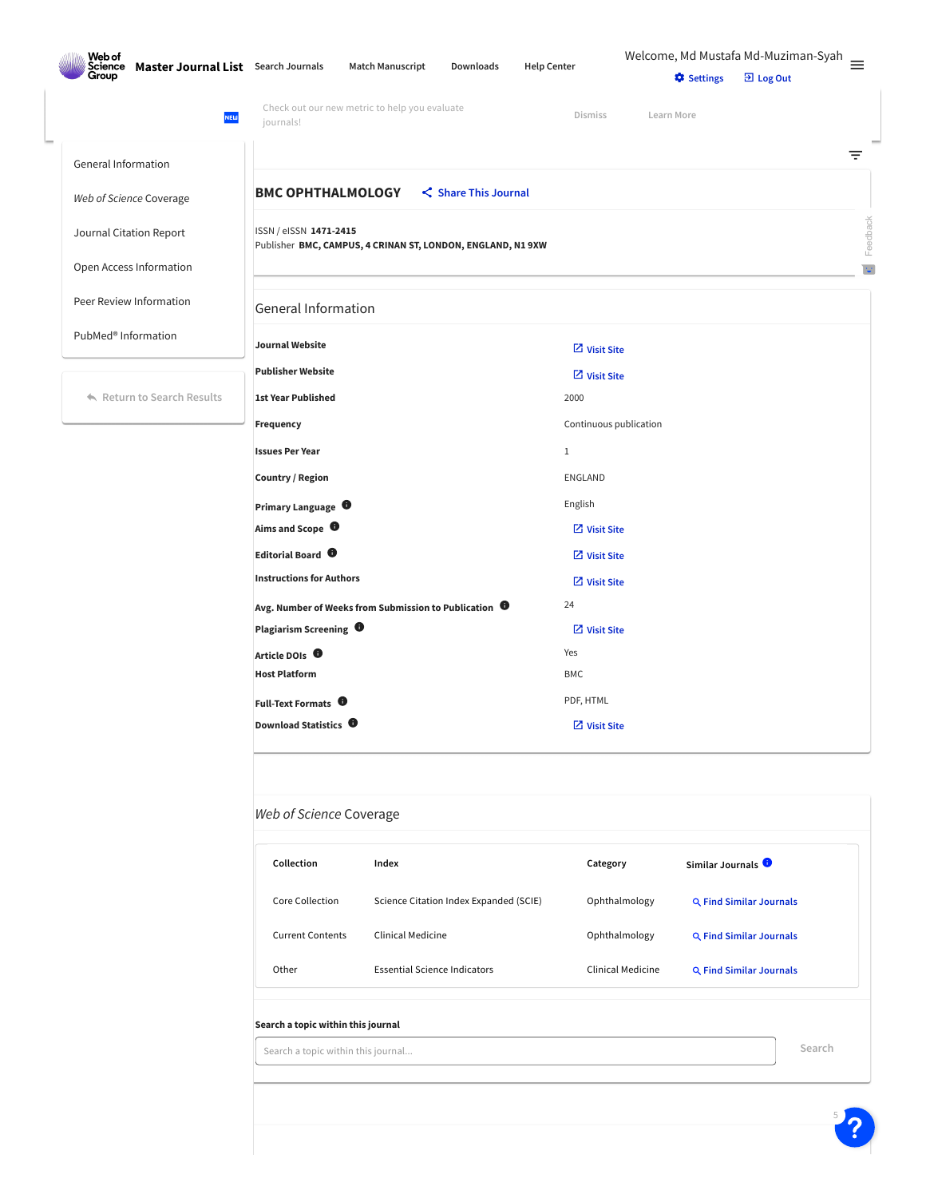| Web of<br><b>Science</b>                     |                                                                                       |           |                        | Welcome, Md Mustafa Md-Muziman-Syah |                        |              |
|----------------------------------------------|---------------------------------------------------------------------------------------|-----------|------------------------|-------------------------------------|------------------------|--------------|
| Master Journal List Search Journals<br>Group | <b>Match Manuscript</b>                                                               | Downloads | <b>Help Center</b>     | <b>C</b> Settings                   | $\overline{2}$ Log Out |              |
| <b>NEW</b>                                   | Check out our new metric to help you evaluate<br>journals!                            |           | <b>Dismiss</b>         | Learn More                          |                        |              |
| General Information                          |                                                                                       |           |                        |                                     |                        | ₹            |
| Web of Science Coverage                      | <b>BMC OPHTHALMOLOGY</b>                                                              |           |                        |                                     |                        |              |
| Journal Citation Report                      | ISSN / eISSN 1471-2415<br>Publisher BMC, CAMPUS, 4 CRINAN ST, LONDON, ENGLAND, N1 9XW |           |                        |                                     |                        | Feedback     |
| Open Access Information                      |                                                                                       |           |                        |                                     |                        | $\mathbb{U}$ |
| Peer Review Information                      | <b>General Information</b>                                                            |           |                        |                                     |                        |              |
| PubMed <sup>®</sup> Information              | <b>Journal Website</b>                                                                |           | $\boxdot$ Visit Site   |                                     |                        |              |
|                                              | <b>Publisher Website</b>                                                              |           | $Z$ Visit Site         |                                     |                        |              |
| Return to Search Results                     | <b>1st Year Published</b>                                                             |           | 2000                   |                                     |                        |              |
|                                              | Frequency                                                                             |           | Continuous publication |                                     |                        |              |
|                                              | <b>Issues Per Year</b>                                                                |           | $1\,$                  |                                     |                        |              |
|                                              | Country / Region                                                                      |           | <b>ENGLAND</b>         |                                     |                        |              |

**Primary Language**  $\bullet$ 

**Avg. Number of Weeks from Submission to Publication** <sup>24</sup>

**Article DOIs** Yes **Host Platform** BMC

**Full-Text Formats** PDF, HTML

**Aims and Scope Editorial Board Instructions for Authors**

**Plagiarism Screening**

**Download Statistics**  $\bullet$ 

| Collection              | Index                                  | Category          | Similar Journals $\bullet$ |
|-------------------------|----------------------------------------|-------------------|----------------------------|
| Core Collection         | Science Citation Index Expanded (SCIE) | Ophthalmology     | Q Find Similar Journals    |
| <b>Current Contents</b> | Clinical Medicine                      | Ophthalmology     | Q Find Similar Journals    |
| Other                   | <b>Essential Science Indicators</b>    | Clinical Medicine | Q Find Similar Journals    |

 **[Visit](http://bmcophthalmol.biomedcentral.com/about) Site [Visit](http://bmcophthalmol.biomedcentral.com/about/editorial-board) Site [Visit](http://bmcophthalmol.biomedcentral.com/submission-guidelines) Site**

**[Visit](http://www.biomedcentral.com/getpublished/editorial-policies#duplicate+publication) Site**

**[Visit](http://bmcophthalmol.biomedcentral.com/articles/10.1186/s12886-016-0245-x) Site**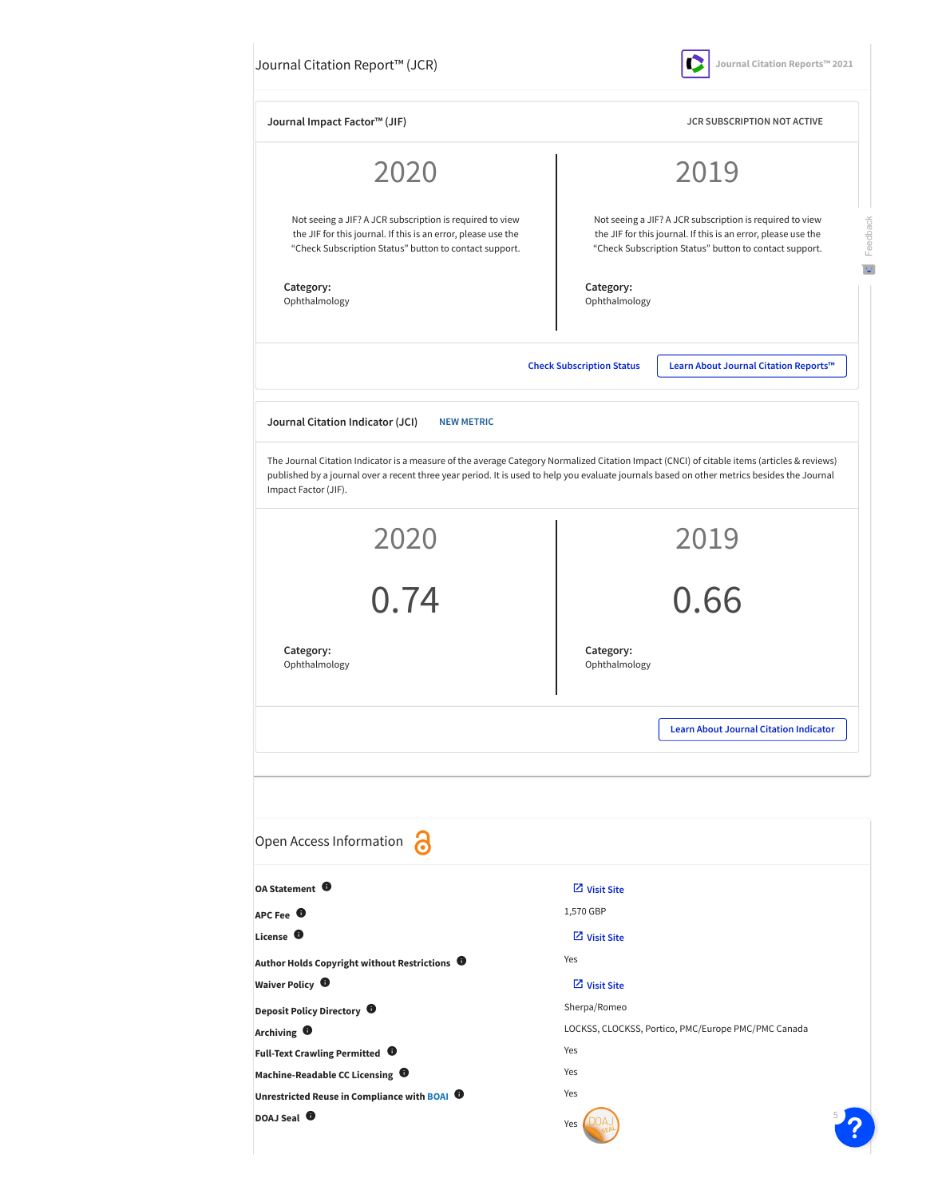| Journal Citation Report™ (JCR) |  |
|--------------------------------|--|
|--------------------------------|--|

**Journal Citation Reports™ 2021**

| Journal Impact Factor™ (JIF)                                                                                                                                                                                                                                                                                       |                                  | <b>JCR SUBSCRIPTION NOT ACTIVE</b>                                                                                                                                                  |  |  |
|--------------------------------------------------------------------------------------------------------------------------------------------------------------------------------------------------------------------------------------------------------------------------------------------------------------------|----------------------------------|-------------------------------------------------------------------------------------------------------------------------------------------------------------------------------------|--|--|
| 2020                                                                                                                                                                                                                                                                                                               |                                  | 2019                                                                                                                                                                                |  |  |
| Not seeing a JIF? A JCR subscription is required to view<br>the JIF for this journal. If this is an error, please use the<br>"Check Subscription Status" button to contact support.                                                                                                                                |                                  | Not seeing a JIF? A JCR subscription is required to view<br>the JIF for this journal. If this is an error, please use the<br>"Check Subscription Status" button to contact support. |  |  |
| Category:<br>Ophthalmology                                                                                                                                                                                                                                                                                         | Category:                        | Ophthalmology                                                                                                                                                                       |  |  |
|                                                                                                                                                                                                                                                                                                                    | <b>Check Subscription Status</b> | Learn About Journal Citation Reports™                                                                                                                                               |  |  |
| Journal Citation Indicator (JCI)<br><b>NEW METRIC</b>                                                                                                                                                                                                                                                              |                                  |                                                                                                                                                                                     |  |  |
| The Journal Citation Indicator is a measure of the average Category Normalized Citation Impact (CNCI) of citable items (articles & reviews)<br>published by a journal over a recent three year period. It is used to help you evaluate journals based on other metrics besides the Journal<br>Impact Factor (JIF). |                                  |                                                                                                                                                                                     |  |  |
| 2020                                                                                                                                                                                                                                                                                                               |                                  | 2019                                                                                                                                                                                |  |  |
| $-2$<br>0.74                                                                                                                                                                                                                                                                                                       |                                  | 0.66                                                                                                                                                                                |  |  |
| Category:<br>Ophthalmology                                                                                                                                                                                                                                                                                         | Category:<br>Ophthalmology       |                                                                                                                                                                                     |  |  |
|                                                                                                                                                                                                                                                                                                                    |                                  | <b>Learn About Journal Citation Indicator</b>                                                                                                                                       |  |  |
| Open Access Information                                                                                                                                                                                                                                                                                            |                                  |                                                                                                                                                                                     |  |  |
| OA Statement <sup>0</sup>                                                                                                                                                                                                                                                                                          | $\boxtimes$ Visit Site           |                                                                                                                                                                                     |  |  |
| APC Fee $\bullet$                                                                                                                                                                                                                                                                                                  | 1,570 GBP                        |                                                                                                                                                                                     |  |  |
| License <sup>O</sup>                                                                                                                                                                                                                                                                                               | $\boxtimes$ Visit Site           |                                                                                                                                                                                     |  |  |
| Author Holds Copyright without Restrictions <sup>0</sup>                                                                                                                                                                                                                                                           | Yes                              |                                                                                                                                                                                     |  |  |
| Waiver Policy <sup>1</sup>                                                                                                                                                                                                                                                                                         | $\boxtimes$ Visit Site           |                                                                                                                                                                                     |  |  |
| Deposit Policy Directory <sup>1</sup>                                                                                                                                                                                                                                                                              | Sherpa/Romeo                     |                                                                                                                                                                                     |  |  |
| Archiving $\bullet$                                                                                                                                                                                                                                                                                                |                                  | LOCKSS, CLOCKSS, Portico, PMC/Europe PMC/PMC Canada                                                                                                                                 |  |  |
| Full-Text Crawling Permitted <sup>0</sup>                                                                                                                                                                                                                                                                          | Yes                              |                                                                                                                                                                                     |  |  |
| Machine-Readable CC Licensing $\bullet$                                                                                                                                                                                                                                                                            | Yes<br>Yes                       |                                                                                                                                                                                     |  |  |
| Unrestricted Reuse in Compliance with BOAI <sup>0</sup>                                                                                                                                                                                                                                                            |                                  |                                                                                                                                                                                     |  |  |
| DOAJ Seal <sup>0</sup>                                                                                                                                                                                                                                                                                             | Yes                              |                                                                                                                                                                                     |  |  |